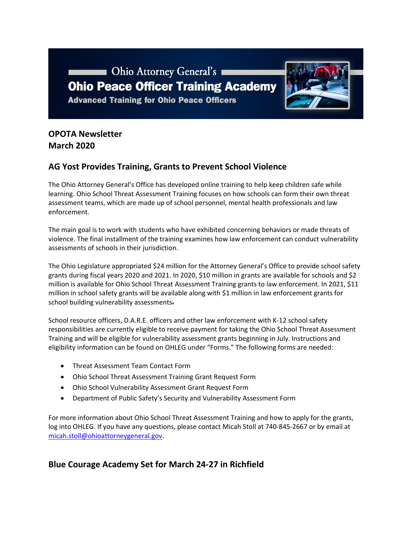



# **OPOTA Newsletter March 2020**

## **AG Yost Provides Training, Grants to Prevent School Violence**

The Ohio Attorney General's Office has developed online training to help keep children safe while learning. Ohio School Threat Assessment Training focuses on how schools can form their own threat assessment teams, which are made up of school personnel, mental health professionals and law enforcement.

The main goal is to work with students who have exhibited concerning behaviors or made threats of violence. The final installment of the training examines how law enforcement can conduct vulnerability assessments of schools in their jurisdiction.

The Ohio Legislature appropriated \$24 million for the Attorney General's Office to provide school safety grants during fiscal years 2020 and 2021. In 2020, \$10 million in grants are available for schools and \$2 million is available for Ohio School Threat Assessment Training grants to law enforcement. In 2021, \$11 million in school safety grants will be available along with \$1 million in law enforcement grants for school building vulnerability assessments.

School resource officers, D.A.R.E. officers and other law enforcement with K-12 school safety responsibilities are currently eligible to receive payment for taking the Ohio School Threat Assessment Training and will be eligible for vulnerability assessment grants beginning in July. Instructions and eligibility information can be found on OHLEG under "Forms." The following forms are needed:

- Threat Assessment Team Contact Form
- Ohio School Threat Assessment Training Grant Request Form
- Ohio School Vulnerability Assessment Grant Request Form
- Department of Public Safety's Security and Vulnerability Assessment Form

For more information about Ohio School Threat Assessment Training and how to apply for the grants, log into OHLEG. If you have any questions, please contact Micah Stoll at 740-845-2667 or by email at [micah.stoll@ohioattorneygeneral.gov.](mailto:micah.stoll@ohioattorneygeneral.gov)

## **Blue Courage Academy Set for March 24-27 in Richfield**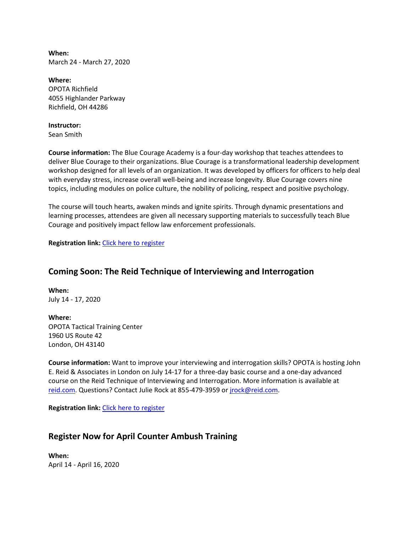**When:** March 24 - March 27, 2020

**Where:** OPOTA Richfield 4055 Highlander Parkway Richfield, OH 44286

#### **Instructor:**

Sean Smith

**Course information:** The Blue Courage Academy is a four-day workshop that teaches attendees to deliver Blue Courage to their organizations. Blue Courage is a transformational leadership development workshop designed for all levels of an organization. It was developed by officers for officers to help deal with everyday stress, increase overall well-being and increase longevity. Blue Courage covers nine topics, including modules on police culture, the nobility of policing, respect and positive psychology.

The course will touch hearts, awaken minds and ignite spirits. Through dynamic presentations and learning processes, attendees are given all necessary supporting materials to successfully teach Blue Courage and positively impact fellow law enforcement professionals.

**Registration link:** [Click here to register](https://www.ohioattorneygeneral.gov/Law-Enforcement/Ohio-Peace-Officer-Training-Academy/Course-Catalog/Course-Categories/Instructor-Training-Courses#OPOTA883)

## **Coming Soon: The Reid Technique of Interviewing and Interrogation**

**When:** July 14 - 17, 2020

**Where:** OPOTA Tactical Training Center 1960 US Route 42 London, OH 43140

**Course information:** Want to improve your interviewing and interrogation skills? OPOTA is hosting John E. Reid & Associates in London on July 14-17 for a three-day basic course and a one-day advanced course on the Reid Technique of Interviewing and Interrogation. More information is available at [reid.com.](http://www.reid.com/) Questions? Contact Julie Rock at 855-479-3959 o[r jrock@reid.com.](mailto:jrock@reid.com)

**Registration link:** [Click here to register](http://www.reid.com/training_programs/semdetail.html?serial=1564672226276463&secondary=1564672526276683&type=regular&third=1564672364276593)

### **Register Now for April Counter Ambush Training**

**When:** April 14 - April 16, 2020